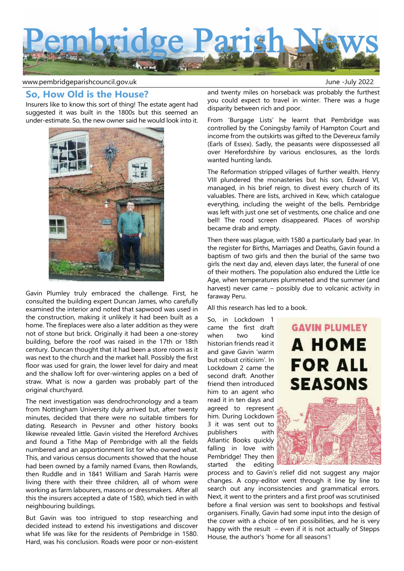

www.pembridgeparishcouncil.gov.uk and the set of the set of the set of the set of the set of the set of the set o

# **So, How Old is the House?**

Insurers like to know this sort of thing! The estate agent had suggested it was built in the 1800s but this seemed an under-estimate. So, the new owner said he would look into it.



Gavin Plumley truly embraced the challenge. First, he consulted the building expert Duncan James, who carefully examined the interior and noted that sapwood was used in the construction, making it unlikely it had been built as a home. The fireplaces were also a later addition as they were not of stone but brick. Originally it had been a one-storey building, before the roof was raised in the 17th or 18th century. Duncan thought that it had been a store room as it was next to the church and the market hall. Possibly the first floor was used for grain, the lower level for dairy and meat and the shallow loft for over-wintering apples on a bed of straw. What is now a garden was probably part of the original churchyard.

The next investigation was dendrochronology and a team from Nottingham University duly arrived but, after twenty minutes, decided that there were no suitable timbers for dating. Research in Pevsner and other history books likewise revealed little. Gavin visited the Hereford Archives and found a Tithe Map of Pembridge with all the fields numbered and an apportionment list for who owned what. This, and various census documents showed that the house had been owned by a family named Evans, then Rowlands, then Ruddle and in 1841 William and Sarah Harris were living there with their three children, all of whom were working as farm labourers, masons or dressmakers. After all this the insurers accepted a date of 1580, which tied in with neighbouring buildings.

But Gavin was too intrigued to stop researching and decided instead to extend his investigations and discover what life was like for the residents of Pembridge in 1580. Hard, was his conclusion. Roads were poor or non-existent

and twenty miles on horseback was probably the furthest you could expect to travel in winter. There was a huge disparity between rich and poor.

From 'Burgage Lists' he learnt that Pembridge was controlled by the Coningsby family of Hampton Court and income from the outskirts was gifted to the Devereux family (Earls of Essex). Sadly, the peasants were dispossessed all over Herefordshire by various enclosures, as the lords wanted hunting lands.

The Reformation stripped villages of further wealth. Henry VIII plundered the monasteries but his son, Edward VI, managed, in his brief reign, to divest every church of its valuables. There are lists, archived in Kew, which catalogue everything, including the weight of the bells. Pembridge was left with just one set of vestments, one chalice and one bell! The rood screen disappeared. Places of worship became drab and empty.

Then there was plague, with 1580 a particularly bad year. In the register for Births, Marriages and Deaths, Gavin found a baptism of two girls and then the burial of the same two girls the next day and, eleven days later, the funeral of one of their mothers. The population also endured the Little Ice Age, when temperatures plummeted and the summer (and harvest) never came – possibly due to volcanic activity in faraway Peru.

All this research has led to a book.

So, in Lockdown 1 came the first draft when two kind historian friends read it and gave Gavin 'warm but robust criticism'. In Lockdown 2 came the second draft. Another friend then introduced him to an agent who read it in ten days and agreed to represent him. During Lockdown 3 it was sent out to publishers with Atlantic Books quickly falling in love with Pembridge! They then started the editing



process and to Gavin's relief did not suggest any major changes. A copy-editor went through it line by line to search out any inconsistencies and grammatical errors. Next, it went to the printers and a first proof was scrutinised before a final version was sent to bookshops and festival organisers. Finally, Gavin had some input into the design of the cover with a choice of ten possibilities, and he is very happy with the result  $-$  even if it is not actually of Stepps House, the author's 'home for all seasons'!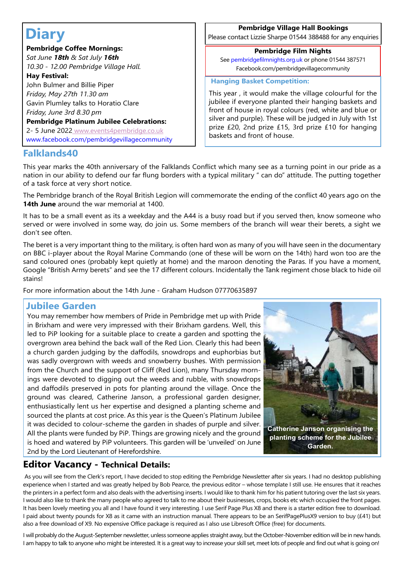# **Diary**

# **Pembridge Coffee Mornings:**

*Sat June 18th & Sat July 16th 10.30 - 12.00 Pembridge Village Hall.*

# **Hay Festival:**

 John Bulmer and Billie Piper  *Friday, May 27th 11.30 am* Gavin Plumley talks to Horatio Clare *Friday, June 3rd 8.30 pm*

# **Pembridge Platinum Jubilee Celebrations:**

 2- 5 June 2022 www.events4pembridge.co.uk www.facebook.com/pembridgevillagecommunity

# **Pembridge Village Hall Bookings**

Please contact Lizzie Sharpe 01544 388488 for any enquiries

## **Pembridge Film Nights** See pembridgefilmnights.org.uk or phone 01544 387571

Facebook.com/pembridgevillagecommunity

## **Hanging Basket Competition:**

This year , it would make the village colourful for the jubilee if everyone planted their hanging baskets and front of house in royal colours (red, white and blue or silver and purple). These will be judged in July with 1st prize £20, 2nd prize £15, 3rd prize £10 for hanging baskets and front of house.

# **Falklands40**

This year marks the 40th anniversary of the Falklands Conflict which many see as a turning point in our pride as a nation in our ability to defend our far flung borders with a typical military " can do" attitude. The putting together of a task force at very short notice.

The Pembridge branch of the Royal British Legion will commemorate the ending of the conflict 40 years ago on the **14th June** around the war memorial at 1400.

It has to be a small event as its a weekday and the A44 is a busy road but if you served then, know someone who served or were involved in some way, do join us. Some members of the branch will wear their berets, a sight we don't see often.

The beret is a very important thing to the military, is often hard won as many of you will have seen in the documentary on BBC i-player about the Royal Marine Commando (one of these will be worn on the 14th) hard won too are the sand coloured ones (probably kept quietly at home) and the maroon denoting the Paras. If you have a moment, Google "British Army berets" and see the 17 different colours. Incidentally the Tank regiment chose black to hide oil stains!

For more information about the 14th June - Graham Hudson 07770635897

# **Jubilee Garden**

You may remember how members of Pride in Pembridge met up with Pride in Brixham and were very impressed with their Brixham gardens. Well, this led to PiP looking for a suitable place to create a garden and spotting the overgrown area behind the back wall of the Red Lion. Clearly this had been a church garden judging by the daffodils, snowdrops and euphorbias but was sadly overgrown with weeds and snowberry bushes. With permission from the Church and the support of Cliff (Red Lion), many Thursday mornings were devoted to digging out the weeds and rubble, with snowdrops and daffodils preserved in pots for planting around the village. Once the ground was cleared, Catherine Janson, a professional garden designer, enthusiastically lent us her expertise and designed a planting scheme and sourced the plants at cost price. As this year is the Queen's Platinum Jubilee it was decided to colour-scheme the garden in shades of purple and silver. All the plants were funded by PiP. Things are growing nicely and the ground is hoed and watered by PiP volunteers. This garden will be 'unveiled' on June 2nd by the Lord Lieutenant of Herefordshire.



# **Editor Vacancy - Technical Details:**

 As you will see from the Clerk's report, I have decided to stop editing the Pembridge Newsletter after six years. I had no desktop publishing experience when I started and was greatly helped by Bob Pearce, the previous editor – whose template I still use. He ensures that it reaches the printers in a perfect form and also deals with the advertising inserts. I would like to thank him for his patient tutoring over the last six years. I would also like to thank the many people who agreed to talk to me about their businesses, crops, books etc which occupied the front pages. It has been lovely meeting you all and I have found it very interesting. I use Serif Page Plus X8 and there is a starter edition free to download. I paid about twenty pounds for X8 as it came with an instruction manual. There appears to be an SerifPagePlusX9 version to buy (£41) but also a free download of X9. No expensive Office package is required as I also use Libresoft Office (free) for documents.

I will probably do the August-September newsletter, unless someone applies straight away, but the October-November edition will be in new hands. I am happy to talk to anyone who might be interested. It is a great way to increase your skill set, meet lots of people and find out what is going on!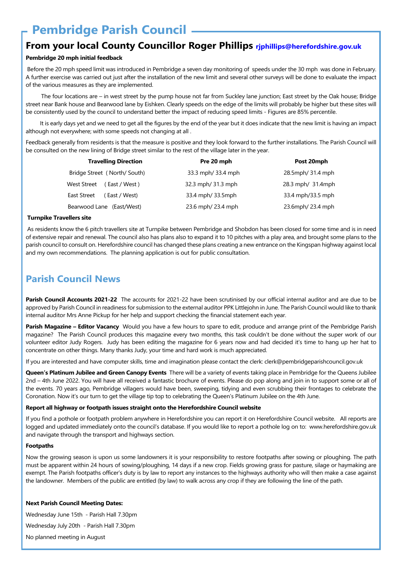# **Pembridge Parish Council**

# **From your local County Councillor Roger Phillips rjphillips@herefordshire.gov.uk**

# **Pembridge 20 mph initial feedback**

 Before the 20 mph speed limit was introduced in Pembridge a seven day monitoring of speeds under the 30 mph was done in February. A further exercise was carried out just after the installation of the new limit and several other surveys will be done to evaluate the impact of the various measures as they are implemented.

 The four locations are – in west street by the pump house not far from Suckley lane junction; East street by the Oak house; Bridge street near Bank house and Bearwood lane by Eishken. Clearly speeds on the edge of the limits will probably be higher but these sites will be consistently used by the council to understand better the impact of reducing speed limits - Figures are 85% percentile.

 It is early days yet and we need to get all the figures by the end of the year but it does indicate that the new limit is having an impact although not everywhere; with some speeds not changing at all .

Feedback generally from residents is that the measure is positive and they look forward to the further installations. The Parish Council will be consulted on the new lining of Bridge street similar to the rest of the village later in the year.

| <b>Travelling Direction</b>   | Pre 20 mph         | Post 20mph        |
|-------------------------------|--------------------|-------------------|
| Bridge Street (North/South)   | 33.3 mph/ 33.4 mph | 28.5mph/ 31.4 mph |
| West Street<br>(East / West)  | 32.3 mph/ 31.3 mph | 28.3 mph/ 31.4mph |
| East Street<br>( East / West) | 33.4 mph/33.5mph   | 33.4 mph/33.5 mph |
| Bearwood Lane (East/West)     | 23.6 mph/ 23.4 mph | 23.6mph/ 23.4 mph |

#### **Turnpike Travellers site**

 As residents know the 6 pitch travellers site at Turnpike between Pembridge and Shobdon has been closed for some time and is in need of extensive repair and renewal. The council also has plans also to expand it to 10 pitches with a play area, and brought some plans to the parish council to consult on. Herefordshire council has changed these plans creating a new entrance on the Kingspan highway against local and my own recommendations. The planning application is out for public consultation.

# **Parish Council News**

**Parish Council Accounts 2021-22** The accounts for 2021-22 have been scrutinised by our official internal auditor and are due to be approved by Parish Council in readiness for submission to the external auditor PPK Littlejohn in June. The Parish Council would like to thank internal auditor Mrs Anne Pickup for her help and support checking the financial statement each year.

**Parish Magazine – Editor Vacancy** Would you have a few hours to spare to edit, produce and arrange print of the Pembridge Parish magazine? The Parish Council produces this magazine every two months, this task couldn't be done without the super work of our volunteer editor Judy Rogers. Judy has been editing the magazine for 6 years now and had decided it's time to hang up her hat to concentrate on other things. Many thanks Judy, your time and hard work is much appreciated.

If you are interested and have computer skills, time and imagination please contact the clerk: clerk@pembridgeparishcouncil.gov.uk

**Queen's Platinum Jubilee and Green Canopy Events** There will be a variety of events taking place in Pembridge for the Queens Jubilee 2nd – 4th June 2022. You will have all received a fantastic brochure of events. Please do pop along and join in to support some or all of the events. 70 years ago, Pembridge villagers would have been, sweeping, tidying and even scrubbing their frontages to celebrate the Coronation. Now it's our turn to get the village tip top to celebrating the Queen's Platinum Jubilee on the 4th June.

#### **Report all highway or footpath issues straight onto the Herefordshire Council website**

If you find a pothole or footpath problem anywhere in Herefordshire you can report it on Herefordshire Council website. All reports are logged and updated immediately onto the council's database. If you would like to report a pothole log on to: www.herefordshire.gov.uk and navigate through the transport and highways section.

#### **Footpaths**

Now the growing season is upon us some landowners it is your responsibility to restore footpaths after sowing or ploughing. The path must be apparent within 24 hours of sowing/ploughing, 14 days if a new crop. Fields growing grass for pasture, silage or haymaking are exempt. The Parish footpaths officer's duty is by law to report any instances to the highways authority who will then make a case against the landowner. Members of the public are entitled (by law) to walk across any crop if they are following the line of the path.

#### **Next Parish Council Meeting Dates:**

Wednesday June 15th - Parish Hall 7.30pm Wednesday July 20th - Parish Hall 7.30pm No planned meeting in August